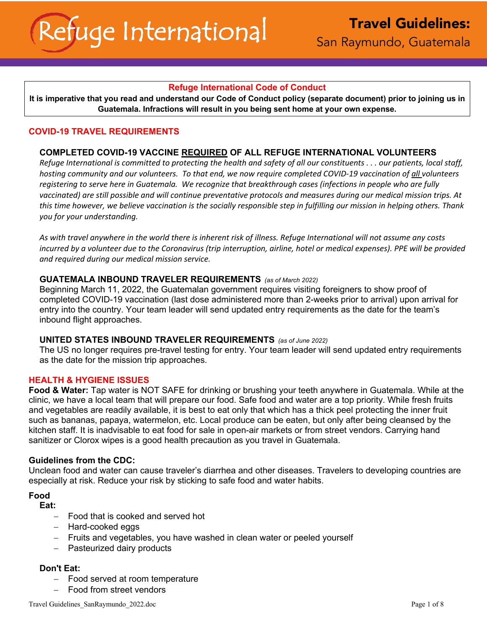# **Refuge International Code of Conduct**

**It is imperative that you read and understand our Code of Conduct policy (separate document) prior to joining us in Guatemala. Infractions will result in you being sent home at your own expense.**

# **COVID-19 TRAVEL REQUIREMENTS**

## **COMPLETED COVID-19 VACCINE REQUIRED OF ALL REFUGE INTERNATIONAL VOLUNTEERS**

*Refuge International is committed to protecting the health and safety of all our constituents . . . our patients, local staff, hosting community and our volunteers. To that end, we now require completed COVID-19 vaccination of all volunteers registering to serve here in Guatemala. We recognize that breakthrough cases (infections in people who are fully vaccinated) are still possible and will continue preventative protocols and measures during our medical mission trips. At this time however, we believe vaccination is the socially responsible step in fulfilling our mission in helping others. Thank you for your understanding.*

*As with travel anywhere in the world there is inherent risk of illness. Refuge International will not assume any costs incurred by a volunteer due to the Coronavirus (trip interruption, airline, hotel or medical expenses). PPE will be provided and required during our medical mission service.*

### **GUATEMALA INBOUND TRAVELER REQUIREMENTS** *(as of March 2022)*

Beginning March 11, 2022, the Guatemalan government requires visiting foreigners to show proof of completed COVID-19 vaccination (last dose administered more than 2-weeks prior to arrival) upon arrival for entry into the country. Your team leader will send updated entry requirements as the date for the team's inbound flight approaches.

### **UNITED STATES INBOUND TRAVELER REQUIREMENTS** *(as of June 2022)*

The US no longer requires pre-travel testing for entry. Your team leader will send updated entry requirements as the date for the mission trip approaches.

### **HEALTH & HYGIENE ISSUES**

**Food & Water:** Tap water is NOT SAFE for drinking or brushing your teeth anywhere in Guatemala. While at the clinic, we have a local team that will prepare our food. Safe food and water are a top priority. While fresh fruits and vegetables are readily available, it is best to eat only that which has a thick peel protecting the inner fruit such as bananas, papaya, watermelon, etc. Local produce can be eaten, but only after being cleansed by the kitchen staff. It is inadvisable to eat food for sale in open-air markets or from street vendors. Carrying hand sanitizer or Clorox wipes is a good health precaution as you travel in Guatemala.

### **Guidelines from the CDC:**

Unclean food and water can cause traveler's diarrhea and other diseases. Travelers to developing countries are especially at risk. Reduce your risk by sticking to safe food and water habits.

#### **Food**

**Eat:** 

- Food that is cooked and served hot
- Hard-cooked eggs
- Fruits and vegetables, you have washed in clean water or peeled yourself
- Pasteurized dairy products

# **Don't Eat:**

- Food served at room temperature
- Food from street vendors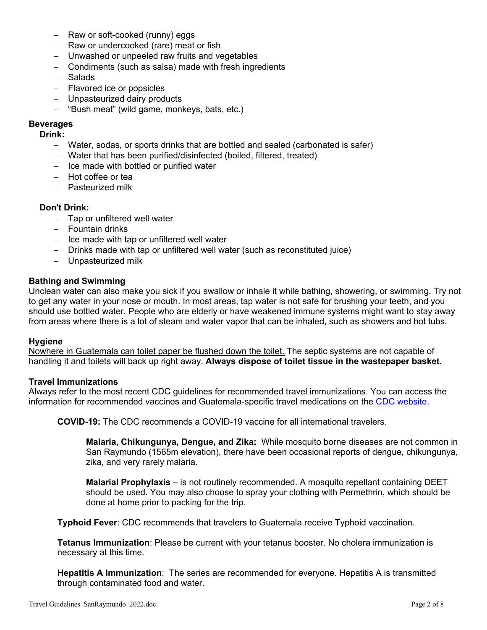- Raw or soft-cooked (runny) eggs
- Raw or undercooked (rare) meat or fish
- Unwashed or unpeeled raw fruits and vegetables
- Condiments (such as salsa) made with fresh ingredients
- Salads
- Flavored ice or popsicles
- Unpasteurized dairy products
- "Bush meat" (wild game, monkeys, bats. etc.)

## **Beverages**

### **Drink:**

- Water, sodas, or sports drinks that are bottled and sealed (carbonated is safer)
- Water that has been purified/disinfected (boiled, filtered, treated)
- Ice made with bottled or purified water
- Hot coffee or tea
- Pasteurized milk

## **Don't Drink:**

- Tap or unfiltered well water
- Fountain drinks
- Ice made with tap or unfiltered well water
- Drinks made with tap or unfiltered well water (such as reconstituted juice)
- Unpasteurized milk

### **Bathing and Swimming**

Unclean water can also make you sick if you swallow or inhale it while bathing, showering, or swimming. Try not to get any water in your nose or mouth. In most areas, tap water is not safe for brushing your teeth, and you should use bottled water. People who are elderly or have weakened immune systems might want to stay away from areas where there is a lot of steam and water vapor that can be inhaled, such as showers and hot tubs.

### **Hygiene**

Nowhere in Guatemala can toilet paper be flushed down the toilet. The septic systems are not capable of handling it and toilets will back up right away. **Always dispose of toilet tissue in the wastepaper basket.** 

### **Travel Immunizations**

Always refer to the most recent CDC guidelines for recommended travel immunizations. You can access the information for recommended vaccines and Guatemala-specific travel medications on the CDC website.

**COVID-19:** The CDC recommends a COVID-19 vaccine for all international travelers.

**Malaria, Chikungunya, Dengue, and Zika:** While mosquito borne diseases are not common in San Raymundo (1565m elevation), there have been occasional reports of dengue, chikungunya, zika, and very rarely malaria.

**Malarial Prophylaxis** – is not routinely recommended. A mosquito repellant containing DEET should be used. You may also choose to spray your clothing with Permethrin, which should be done at home prior to packing for the trip.

**Typhoid Fever**: CDC recommends that travelers to Guatemala receive Typhoid vaccination.

**Tetanus Immunization**: Please be current with your tetanus booster. No cholera immunization is necessary at this time.

**Hepatitis A Immunization**: The series are recommended for everyone. Hepatitis A is transmitted through contaminated food and water.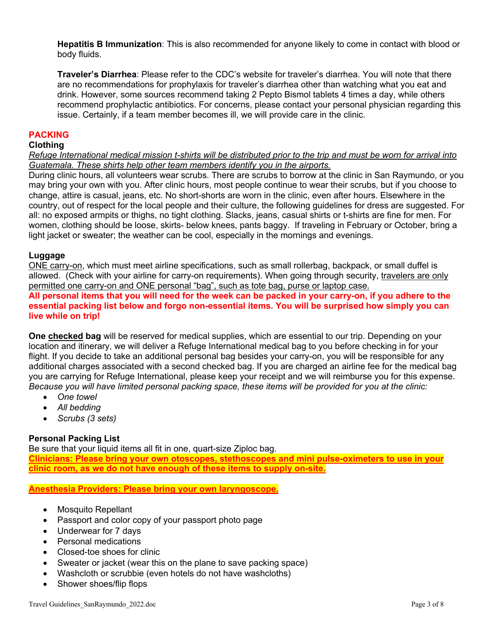**Hepatitis B Immunization**: This is also recommended for anyone likely to come in contact with blood or body fluids.

**Traveler's Diarrhea**: Please refer to the CDC's website for traveler's diarrhea. You will note that there are no recommendations for prophylaxis for traveler's diarrhea other than watching what you eat and drink. However, some sources recommend taking 2 Pepto Bismol tablets 4 times a day, while others recommend prophylactic antibiotics. For concerns, please contact your personal physician regarding this issue. Certainly, if a team member becomes ill, we will provide care in the clinic.

### **PACKING**

#### **Clothing**

*Refuge International medical mission t-shirts will be distributed prior to the trip and must be worn for arrival into Guatemala. These shirts help other team members identify you in the airports.*

During clinic hours, all volunteers wear scrubs. There are scrubs to borrow at the clinic in San Raymundo, or you may bring your own with you. After clinic hours, most people continue to wear their scrubs, but if you choose to change, attire is casual, jeans, etc*.* No short-shorts are worn in the clinic, even after hours. Elsewhere in the country, out of respect for the local people and their culture, the following guidelines for dress are suggested. For all: no exposed armpits or thighs, no tight clothing. Slacks, jeans, casual shirts or t-shirts are fine for men. For women, clothing should be loose, skirts- below knees, pants baggy. If traveling in February or October, bring a light jacket or sweater; the weather can be cool, especially in the mornings and evenings.

#### **Luggage**

ONE carry-on, which must meet airline specifications, such as small rollerbag, backpack, or small duffel is allowed. (Check with your airline for carry-on requirements). When going through security, travelers are only permitted one carry-on and ONE personal "bag", such as tote bag, purse or laptop case. **All personal items that you will need for the week can be packed in your carry-on, if you adhere to the essential packing list below and forgo non-essential items. You will be surprised how simply you can live while on trip!**

**One checked bag** will be reserved for medical supplies, which are essential to our trip. Depending on your location and itinerary, we will deliver a Refuge International medical bag to you before checking in for your flight. If you decide to take an additional personal bag besides your carry-on, you will be responsible for any additional charges associated with a second checked bag. If you are charged an airline fee for the medical bag you are carrying for Refuge International, please keep your receipt and we will reimburse you for this expense. *Because you will have limited personal packing space, these items will be provided for you at the clinic:*

- *One towel*
- *All bedding*
- *Scrubs (3 sets)*

### **Personal Packing List**

Be sure that your liquid items all fit in one, quart-size Ziploc bag. **Clinicians: Please bring your own otoscopes, stethoscopes and mini pulse-oximeters to use in your clinic room, as we do not have enough of these items to supply on-site.** 

**Anesthesia Providers: Please bring your own laryngoscope.**

- Mosquito Repellant
- Passport and color copy of your passport photo page
- Underwear for 7 days
- Personal medications
- Closed-toe shoes for clinic
- Sweater or jacket (wear this on the plane to save packing space)
- Washcloth or scrubbie (even hotels do not have washcloths)
- Shower shoes/flip flops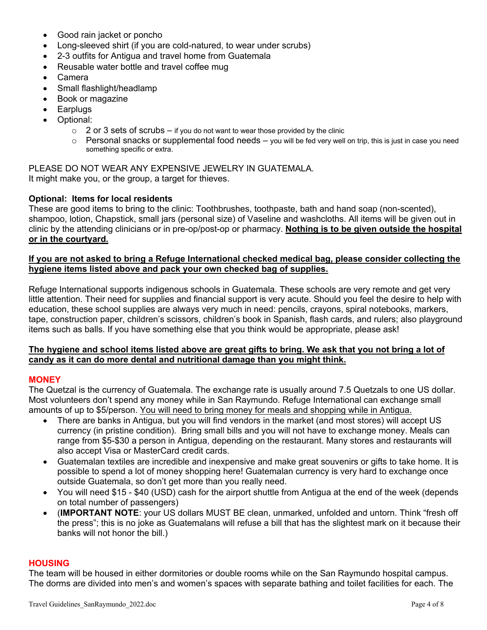- Good rain jacket or poncho
- Long-sleeved shirt (if you are cold-natured, to wear under scrubs)
- 2-3 outfits for Antigua and travel home from Guatemala
- Reusable water bottle and travel coffee mug
- Camera
- Small flashlight/headlamp
- Book or magazine
- **Earplugs**
- Optional:
	- $\circ$  2 or 3 sets of scrubs if you do not want to wear those provided by the clinic
	- $\circ$  Personal snacks or supplemental food needs you will be fed very well on trip, this is just in case you need something specific or extra.

PLEASE DO NOT WEAR ANY EXPENSIVE JEWELRY IN GUATEMALA. It might make you, or the group, a target for thieves.

### **Optional: Items for local residents**

These are good items to bring to the clinic: Toothbrushes, toothpaste, bath and hand soap (non-scented), shampoo, lotion, Chapstick, small jars (personal size) of Vaseline and washcloths. All items will be given out in clinic by the attending clinicians or in pre-op/post-op or pharmacy. **Nothing is to be given outside the hospital or in the courtyard.**

## **If you are not asked to bring a Refuge International checked medical bag, please consider collecting the hygiene items listed above and pack your own checked bag of supplies.**

Refuge International supports indigenous schools in Guatemala. These schools are very remote and get very little attention. Their need for supplies and financial support is very acute. Should you feel the desire to help with education, these school supplies are always very much in need: pencils, crayons, spiral notebooks, markers, tape, construction paper, children's scissors, children's book in Spanish, flash cards, and rulers; also playground items such as balls. If you have something else that you think would be appropriate, please ask!

## **The hygiene and school items listed above are great gifts to bring. We ask that you not bring a lot of candy as it can do more dental and nutritional damage than you might think.**

### **MONEY**

The Quetzal is the currency of Guatemala. The exchange rate is usually around 7.5 Quetzals to one US dollar. Most volunteers don't spend any money while in San Raymundo. Refuge International can exchange small amounts of up to \$5/person. You will need to bring money for meals and shopping while in Antigua.

- There are banks in Antigua, but you will find vendors in the market (and most stores) will accept US currency (in pristine condition). Bring small bills and you will not have to exchange money. Meals can range from \$5-\$30 a person in Antigua, depending on the restaurant. Many stores and restaurants will also accept Visa or MasterCard credit cards.
- Guatemalan textiles are incredible and inexpensive and make great souvenirs or gifts to take home. It is possible to spend a lot of money shopping here! Guatemalan currency is very hard to exchange once outside Guatemala, so don't get more than you really need.
- You will need \$15 \$40 (USD) cash for the airport shuttle from Antigua at the end of the week (depends on total number of passengers)
- (**IMPORTANT NOTE**: your US dollars MUST BE clean, unmarked, unfolded and untorn. Think "fresh off the press"; this is no joke as Guatemalans will refuse a bill that has the slightest mark on it because their banks will not honor the bill.)

### **HOUSING**

The team will be housed in either dormitories or double rooms while on the San Raymundo hospital campus. The dorms are divided into men's and women's spaces with separate bathing and toilet facilities for each. The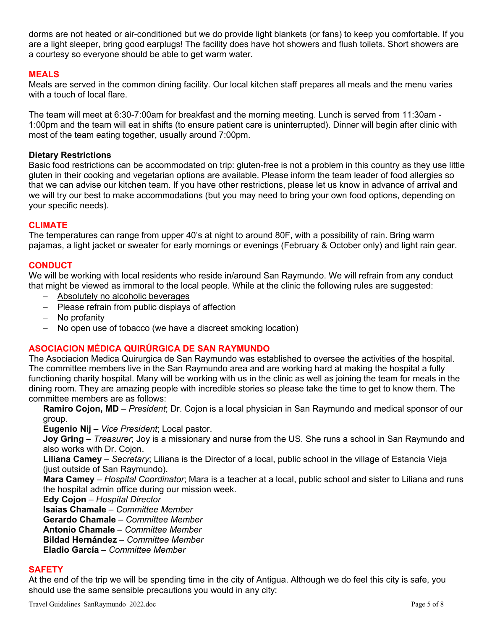dorms are not heated or air-conditioned but we do provide light blankets (or fans) to keep you comfortable. If you are a light sleeper, bring good earplugs! The facility does have hot showers and flush toilets. Short showers are a courtesy so everyone should be able to get warm water.

# **MEALS**

Meals are served in the common dining facility. Our local kitchen staff prepares all meals and the menu varies with a touch of local flare.

The team will meet at 6:30-7:00am for breakfast and the morning meeting. Lunch is served from 11:30am - 1:00pm and the team will eat in shifts (to ensure patient care is uninterrupted). Dinner will begin after clinic with most of the team eating together, usually around 7:00pm.

### **Dietary Restrictions**

Basic food restrictions can be accommodated on trip: gluten-free is not a problem in this country as they use little gluten in their cooking and vegetarian options are available. Please inform the team leader of food allergies so that we can advise our kitchen team. If you have other restrictions, please let us know in advance of arrival and we will try our best to make accommodations (but you may need to bring your own food options, depending on your specific needs).

## **CLIMATE**

The temperatures can range from upper 40's at night to around 80F, with a possibility of rain. Bring warm pajamas, a light jacket or sweater for early mornings or evenings (February & October only) and light rain gear.

# **CONDUCT**

We will be working with local residents who reside in/around San Raymundo. We will refrain from any conduct that might be viewed as immoral to the local people. While at the clinic the following rules are suggested:

- Absolutely no alcoholic beverages
- Please refrain from public displays of affection
- No profanity
- No open use of tobacco (we have a discreet smoking location)

# **ASOCIACION MÉDICA QUIRÚRGICA DE SAN RAYMUNDO**

The Asociacion Medica Quirurgica de San Raymundo was established to oversee the activities of the hospital. The committee members live in the San Raymundo area and are working hard at making the hospital a fully functioning charity hospital. Many will be working with us in the clinic as well as joining the team for meals in the dining room. They are amazing people with incredible stories so please take the time to get to know them. The committee members are as follows:

**Ramiro Cojon, MD** – *President*; Dr. Cojon is a local physician in San Raymundo and medical sponsor of our group.

**Eugenio Nij** – *Vice President*; Local pastor.

**Joy Gring** – *Treasurer*; Joy is a missionary and nurse from the US. She runs a school in San Raymundo and also works with Dr. Cojon.

**Liliana Camey** – *Secretary*; Liliana is the Director of a local, public school in the village of Estancia Vieja (just outside of San Raymundo).

**Mara Camey** – *Hospital Coordinator*; Mara is a teacher at a local, public school and sister to Liliana and runs the hospital admin office during our mission week.

**Edy Cojon** – *Hospital Director*

**Isaias Chamale** – *Committee Member*

**Gerardo Chamale** – *Committee Member*

**Antonio Chamale** – *Committee Member*

**Bildad Hernández** – *Committee Member*

**Eladio García** – *Committee Member*

### **SAFETY**

At the end of the trip we will be spending time in the city of Antigua. Although we do feel this city is safe, you should use the same sensible precautions you would in any city: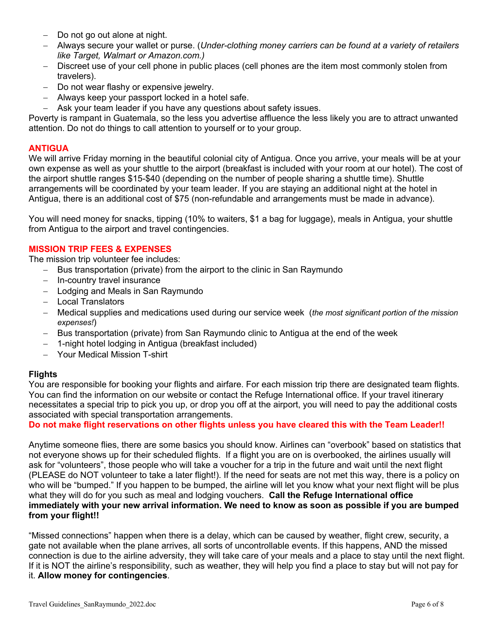- Do not go out alone at night.
- Always secure your wallet or purse. (*Under-clothing money carriers can be found at a variety of retailers like Target, Walmart or Amazon.com.)*
- Discreet use of your cell phone in public places (cell phones are the item most commonly stolen from travelers).
- Do not wear flashy or expensive jewelry.
- Always keep your passport locked in a hotel safe.
- Ask your team leader if you have any questions about safety issues.

Poverty is rampant in Guatemala, so the less you advertise affluence the less likely you are to attract unwanted attention. Do not do things to call attention to yourself or to your group.

# **ANTIGUA**

We will arrive Friday morning in the beautiful colonial city of Antigua. Once you arrive, your meals will be at your own expense as well as your shuttle to the airport (breakfast is included with your room at our hotel). The cost of the airport shuttle ranges \$15-\$40 (depending on the number of people sharing a shuttle time). Shuttle arrangements will be coordinated by your team leader. If you are staying an additional night at the hotel in Antigua, there is an additional cost of \$75 (non-refundable and arrangements must be made in advance).

You will need money for snacks, tipping (10% to waiters, \$1 a bag for luggage), meals in Antigua, your shuttle from Antigua to the airport and travel contingencies.

## **MISSION TRIP FEES & EXPENSES**

The mission trip volunteer fee includes:

- Bus transportation (private) from the airport to the clinic in San Raymundo
- In-country travel insurance
- Lodging and Meals in San Raymundo
- Local Translators
- Medical supplies and medications used during our service week (*the most significant portion of the mission expenses!*)
- Bus transportation (private) from San Raymundo clinic to Antigua at the end of the week
- 1-night hotel lodging in Antigua (breakfast included)
- Your Medical Mission T-shirt

# **Flights**

You are responsible for booking your flights and airfare. For each mission trip there are designated team flights. You can find the information on our website or contact the Refuge International office. If your travel itinerary necessitates a special trip to pick you up, or drop you off at the airport, you will need to pay the additional costs associated with special transportation arrangements.

**Do not make flight reservations on other flights unless you have cleared this with the Team Leader!!** 

Anytime someone flies, there are some basics you should know. Airlines can "overbook" based on statistics that not everyone shows up for their scheduled flights. If a flight you are on is overbooked, the airlines usually will ask for "volunteers", those people who will take a voucher for a trip in the future and wait until the next flight (PLEASE do NOT volunteer to take a later flight!). If the need for seats are not met this way, there is a policy on who will be "bumped." If you happen to be bumped, the airline will let you know what your next flight will be plus what they will do for you such as meal and lodging vouchers. **Call the Refuge International office immediately with your new arrival information. We need to know as soon as possible if you are bumped from your flight!!**

"Missed connections" happen when there is a delay, which can be caused by weather, flight crew, security, a gate not available when the plane arrives, all sorts of uncontrollable events. If this happens, AND the missed connection is due to the airline adversity, they will take care of your meals and a place to stay until the next flight. If it is NOT the airline's responsibility, such as weather, they will help you find a place to stay but will not pay for it. **Allow money for contingencies**.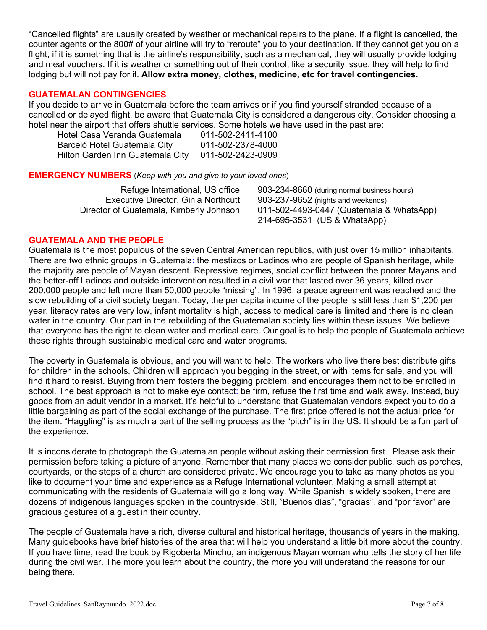"Cancelled flights" are usually created by weather or mechanical repairs to the plane. If a flight is cancelled, the counter agents or the 800# of your airline will try to "reroute" you to your destination. If they cannot get you on a flight, if it is something that is the airline's responsibility, such as a mechanical, they will usually provide lodging and meal vouchers. If it is weather or something out of their control, like a security issue, they will help to find lodging but will not pay for it. **Allow extra money, clothes, medicine, etc for travel contingencies.**

## **GUATEMALAN CONTINGENCIES**

If you decide to arrive in Guatemala before the team arrives or if you find yourself stranded because of a cancelled or delayed flight, be aware that Guatemala City is considered a dangerous city. Consider choosing a hotel near the airport that offers shuttle services. Some hotels we have used in the past are:

| Hotel Casa Veranda Guatemala     | 011-502-2411-4100 |
|----------------------------------|-------------------|
| Barceló Hotel Guatemala City     | 011-502-2378-4000 |
| Hilton Garden Inn Guatemala City | 011-502-2423-0909 |

### **EMERGENCY NUMBERS** (*Keep with you and give to your loved ones*)

| Refuge International, US office            | 903-234-8660 (during normal business hours) |
|--------------------------------------------|---------------------------------------------|
| <b>Executive Director, Ginia Northcutt</b> | 903-237-9652 (nights and weekends)          |
| Director of Guatemala, Kimberly Johnson    | 011-502-4493-0447 (Guatemala & WhatsApp)    |
|                                            | 214-695-3531 (US & WhatsApp)                |

## **GUATEMALA AND THE PEOPLE**

Guatemala is the most populous of the seven Central American republics, with just over 15 million inhabitants. There are two ethnic groups in Guatemala: the mestizos or Ladinos who are people of Spanish heritage, while the majority are people of Mayan descent. Repressive regimes, social conflict between the poorer Mayans and the better-off Ladinos and outside intervention resulted in a civil war that lasted over 36 years, killed over 200,000 people and left more than 50,000 people "missing". In 1996, a peace agreement was reached and the slow rebuilding of a civil society began. Today, the per capita income of the people is still less than \$1,200 per year, literacy rates are very low, infant mortality is high, access to medical care is limited and there is no clean water in the country. Our part in the rebuilding of the Guatemalan society lies within these issues. We believe that everyone has the right to clean water and medical care. Our goal is to help the people of Guatemala achieve these rights through sustainable medical care and water programs.

The poverty in Guatemala is obvious, and you will want to help. The workers who live there best distribute gifts for children in the schools. Children will approach you begging in the street, or with items for sale, and you will find it hard to resist. Buying from them fosters the begging problem, and encourages them not to be enrolled in school. The best approach is not to make eye contact: be firm, refuse the first time and walk away. Instead, buy goods from an adult vendor in a market. It's helpful to understand that Guatemalan vendors expect you to do a little bargaining as part of the social exchange of the purchase. The first price offered is not the actual price for the item. "Haggling" is as much a part of the selling process as the "pitch" is in the US. It should be a fun part of the experience.

It is inconsiderate to photograph the Guatemalan people without asking their permission first. Please ask their permission before taking a picture of anyone. Remember that many places we consider public, such as porches, courtyards, or the steps of a church are considered private. We encourage you to take as many photos as you like to document your time and experience as a Refuge International volunteer. Making a small attempt at communicating with the residents of Guatemala will go a long way. While Spanish is widely spoken, there are dozens of indigenous languages spoken in the countryside. Still, "Buenos días", "gracias", and "por favor" are gracious gestures of a guest in their country.

The people of Guatemala have a rich, diverse cultural and historical heritage, thousands of years in the making. Many guidebooks have brief histories of the area that will help you understand a little bit more about the country. If you have time, read the book by Rigoberta Minchu, an indigenous Mayan woman who tells the story of her life during the civil war. The more you learn about the country, the more you will understand the reasons for our being there.